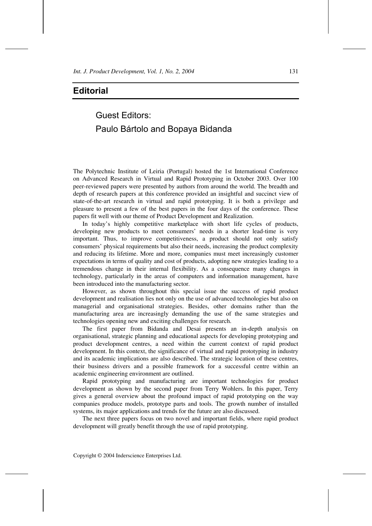## **Editorial**

## Guest Editors: Paulo Bártolo and Bopaya Bidanda

The Polytechnic Institute of Leiria (Portugal) hosted the 1st International Conference on Advanced Research in Virtual and Rapid Prototyping in October 2003. Over 100 peer-reviewed papers were presented by authors from around the world. The breadth and depth of research papers at this conference provided an insightful and succinct view of state-of-the-art research in virtual and rapid prototyping. It is both a privilege and pleasure to present a few of the best papers in the four days of the conference. These papers fit well with our theme of Product Development and Realization.

In today's highly competitive marketplace with short life cycles of products, developing new products to meet consumers' needs in a shorter lead-time is very important. Thus, to improve competitiveness, a product should not only satisfy consumers' physical requirements but also their needs, increasing the product complexity and reducing its lifetime. More and more, companies must meet increasingly customer expectations in terms of quality and cost of products, adopting new strategies leading to a tremendous change in their internal flexibility. As a consequence many changes in technology, particularly in the areas of computers and information management, have been introduced into the manufacturing sector.

However, as shown throughout this special issue the success of rapid product development and realisation lies not only on the use of advanced technologies but also on managerial and organisational strategies. Besides, other domains rather than the manufacturing area are increasingly demanding the use of the same strategies and technologies opening new and exciting challenges for research.

The first paper from Bidanda and Desai presents an in-depth analysis on organisational, strategic planning and educational aspects for developing prototyping and product development centres, a need within the current context of rapid product development. In this context, the significance of virtual and rapid prototyping in industry and its academic implications are also described. The strategic location of these centres, their business drivers and a possible framework for a successful centre within an academic engineering environment are outlined.

Rapid prototyping and manufacturing are important technologies for product development as shown by the second paper from Terry Wohlers. In this paper, Terry gives a general overview about the profound impact of rapid prototyping on the way companies produce models, prototype parts and tools. The growth number of installed systems, its major applications and trends for the future are also discussed.

The next three papers focus on two novel and important fields, where rapid product development will greatly benefit through the use of rapid prototyping.